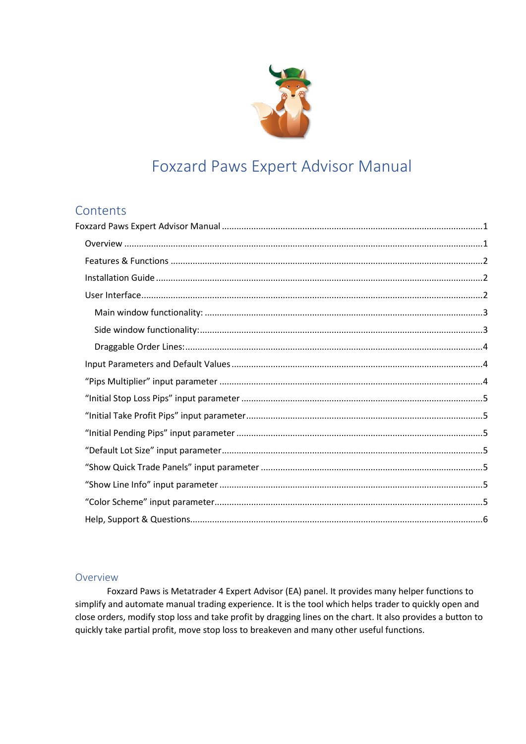

# **Foxzard Paws Expert Advisor Manual**

## <span id="page-0-0"></span>Contents

#### <span id="page-0-1"></span>Overview

Foxzard Paws is Metatrader 4 Expert Advisor (EA) panel. It provides many helper functions to simplify and automate manual trading experience. It is the tool which helps trader to quickly open and close orders, modify stop loss and take profit by dragging lines on the chart. It also provides a button to quickly take partial profit, move stop loss to breakeven and many other useful functions.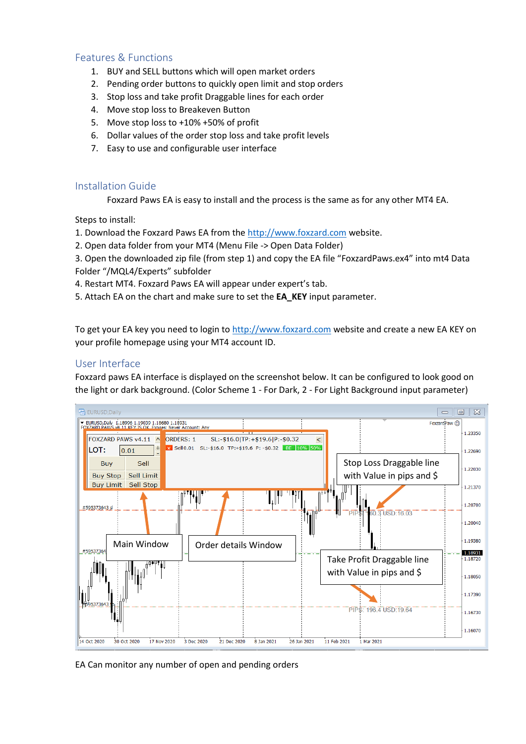## <span id="page-1-0"></span>Features & Functions

- 1. BUY and SELL buttons which will open market orders
- 2. Pending order buttons to quickly open limit and stop orders
- 3. Stop loss and take profit Draggable lines for each order
- 4. Move stop loss to Breakeven Button
- 5. Move stop loss to +10% +50% of profit
- 6. Dollar values of the order stop loss and take profit levels
- 7. Easy to use and configurable user interface

#### <span id="page-1-1"></span>Installation Guide

Foxzard Paws EA is easy to install and the process is the same as for any other MT4 EA.

Steps to install:

- 1. Download the Foxzard Paws EA from the [http://www.foxzard.com](http://www.foxzard.com/) website.
- 2. Open data folder from your MT4 (Menu File -> Open Data Folder)

3. Open the downloaded zip file (from step 1) and copy the EA file "FoxzardPaws.ex4" into mt4 Data Folder "/MQL4/Experts" subfolder

- 4. Restart MT4. Foxzard Paws EA will appear under expert's tab.
- 5. Attach EA on the chart and make sure to set the **EA\_KEY** input parameter.

To get your EA key you need to login to [http://www.foxzard.com](http://www.foxzard.com/) website and create a new EA KEY on your profile homepage using your MT4 account ID.

## <span id="page-1-2"></span>User Interface

Foxzard paws EA interface is displayed on the screenshot below. It can be configured to look good on the light or dark background. (Color Scheme 1 - For Dark, 2 - For Light Background input parameter)



EA Can monitor any number of open and pending orders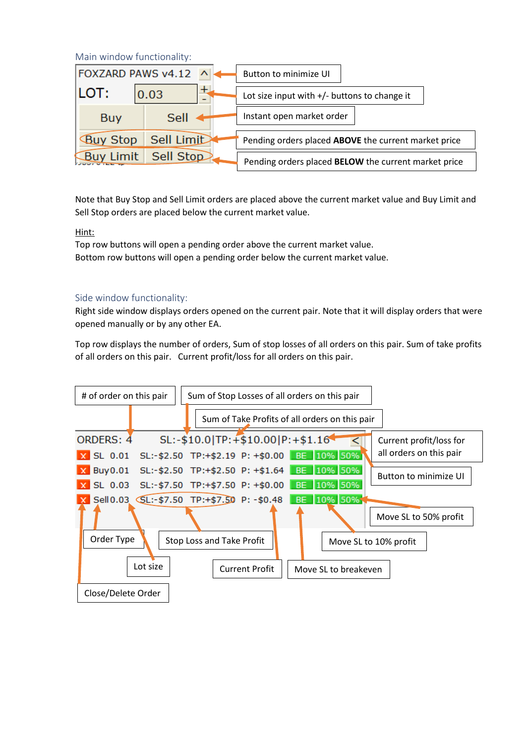<span id="page-2-0"></span>Main window functionality:

| FOXZARD PAWS v4.12 |             |  | Button to minimize UI                                |                                                |  |
|--------------------|-------------|--|------------------------------------------------------|------------------------------------------------|--|
| ILOT:              | +<br>0.03   |  |                                                      | Lot size input with $+/-$ buttons to change it |  |
| <b>Buy</b>         | <b>Sell</b> |  | Instant open market order                            |                                                |  |
| <b>Buy Stop</b>    | Sell Limit  |  | Pending orders placed ABOVE the current market price |                                                |  |
| <b>Buy Limit</b>   | Sell Stop   |  | Pending orders placed BELOW the current market price |                                                |  |

Note that Buy Stop and Sell Limit orders are placed above the current market value and Buy Limit and Sell Stop orders are placed below the current market value.

#### Hint:

Top row buttons will open a pending order above the current market value. Bottom row buttons will open a pending order below the current market value.

#### <span id="page-2-1"></span>Side window functionality:

Right side window displays orders opened on the current pair. Note that it will display orders that were opened manually or by any other EA.

Top row displays the number of orders, Sum of stop losses of all orders on this pair. Sum of take profits of all orders on this pair. Current profit/loss for all orders on this pair.

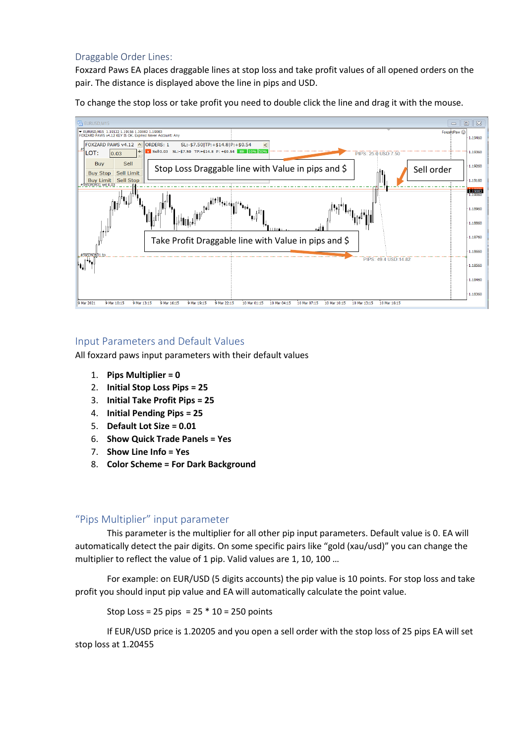#### <span id="page-3-0"></span>Draggable Order Lines:

Foxzard Paws EA places draggable lines at stop loss and take profit values of all opened orders on the pair. The distance is displayed above the line in pips and USD.

To change the stop loss or take profit you need to double click the line and drag it with the mouse.



#### <span id="page-3-1"></span>Input Parameters and Default Values

All foxzard paws input parameters with their default values

- 1. **Pips Multiplier = 0**
- 2. **Initial Stop Loss Pips = 25**
- 3. **Initial Take Profit Pips = 25**
- 4. **Initial Pending Pips = 25**
- 5. **Default Lot Size = 0.01**
- 6. **Show Quick Trade Panels = Yes**
- 7. **Show Line Info = Yes**
- 8. **Color Scheme = For Dark Background**

#### <span id="page-3-2"></span>"Pips Multiplier" input parameter

This parameter is the multiplier for all other pip input parameters. Default value is 0. EA will automatically detect the pair digits. On some specific pairs like "gold (xau/usd)" you can change the multiplier to reflect the value of 1 pip. Valid values are 1, 10, 100 …

For example: on EUR/USD (5 digits accounts) the pip value is 10 points. For stop loss and take profit you should input pip value and EA will automatically calculate the point value.

Stop Loss =  $25$  pips =  $25 * 10 = 250$  points

If EUR/USD price is 1.20205 and you open a sell order with the stop loss of 25 pips EA will set stop loss at 1.20455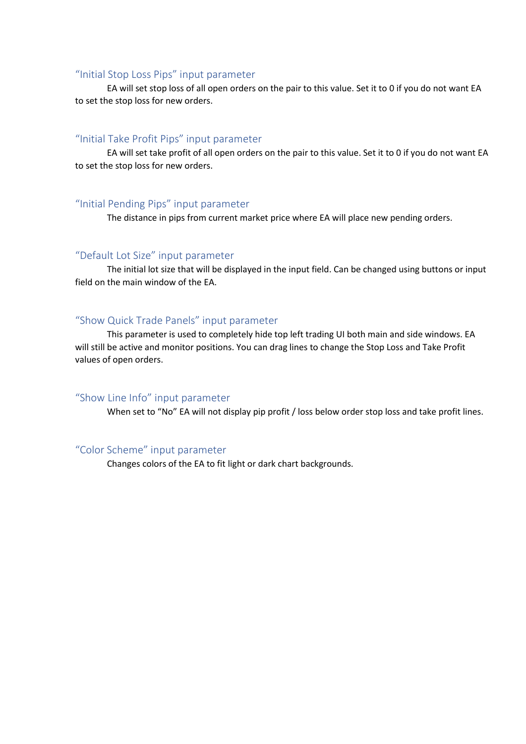#### <span id="page-4-0"></span>"Initial Stop Loss Pips" input parameter

EA will set stop loss of all open orders on the pair to this value. Set it to 0 if you do not want EA to set the stop loss for new orders.

#### <span id="page-4-1"></span>"Initial Take Profit Pips" input parameter

EA will set take profit of all open orders on the pair to this value. Set it to 0 if you do not want EA to set the stop loss for new orders.

#### <span id="page-4-2"></span>"Initial Pending Pips" input parameter

The distance in pips from current market price where EA will place new pending orders.

#### <span id="page-4-3"></span>"Default Lot Size" input parameter

The initial lot size that will be displayed in the input field. Can be changed using buttons or input field on the main window of the EA.

#### <span id="page-4-4"></span>"Show Quick Trade Panels" input parameter

This parameter is used to completely hide top left trading UI both main and side windows. EA will still be active and monitor positions. You can drag lines to change the Stop Loss and Take Profit values of open orders.

#### <span id="page-4-5"></span>"Show Line Info" input parameter

When set to "No" EA will not display pip profit / loss below order stop loss and take profit lines.

#### <span id="page-4-6"></span>"Color Scheme" input parameter

Changes colors of the EA to fit light or dark chart backgrounds.